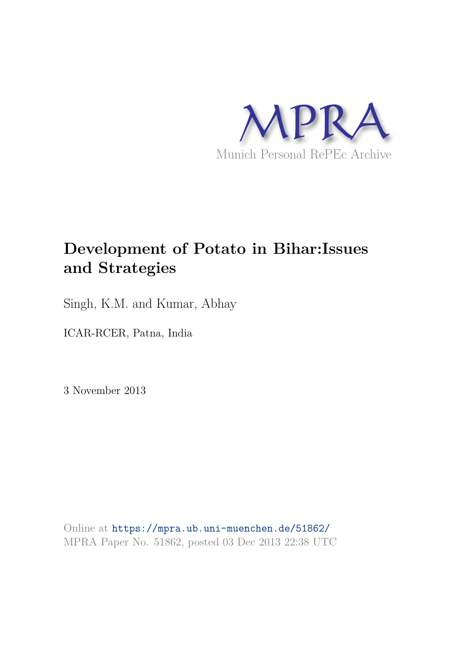

# **Development of Potato in Bihar:Issues and Strategies**

Singh, K.M. and Kumar, Abhay

ICAR-RCER, Patna, India

3 November 2013

Online at https://mpra.ub.uni-muenchen.de/51862/ MPRA Paper No. 51862, posted 03 Dec 2013 22:38 UTC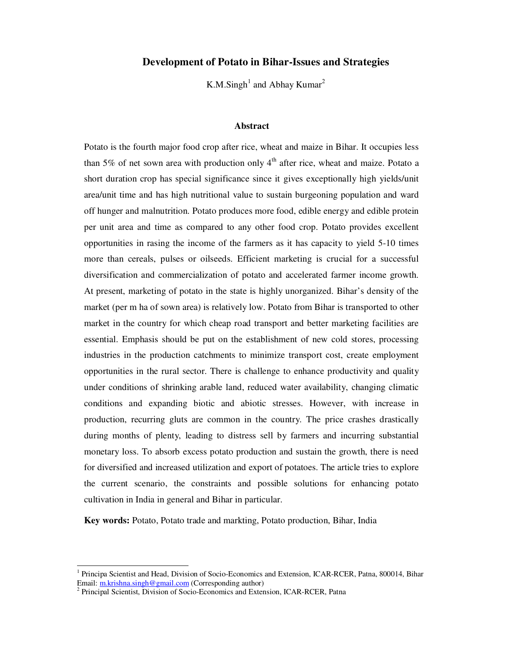# **Development of Potato in Bihar-Issues and Strategies**

K.M.Singh<sup>1</sup> and Abhay Kumar<sup>2</sup>

## **Abstract**

Potato is the fourth major food crop after rice, wheat and maize in Bihar. It occupies less than 5% of net sown area with production only  $4<sup>th</sup>$  after rice, wheat and maize. Potato a short duration crop has special significance since it gives exceptionally high yields/unit area/unit time and has high nutritional value to sustain burgeoning population and ward off hunger and malnutrition. Potato produces more food, edible energy and edible protein per unit area and time as compared to any other food crop. Potato provides excellent opportunities in rasing the income of the farmers as it has capacity to yield 5-10 times more than cereals, pulses or oilseeds. Efficient marketing is crucial for a successful diversification and commercialization of potato and accelerated farmer income growth. At present, marketing of potato in the state is highly unorganized. Bihar's density of the market (per m ha of sown area) is relatively low. Potato from Bihar is transported to other market in the country for which cheap road transport and better marketing facilities are essential. Emphasis should be put on the establishment of new cold stores, processing industries in the production catchments to minimize transport cost, create employment opportunities in the rural sector. There is challenge to enhance productivity and quality under conditions of shrinking arable land, reduced water availability, changing climatic conditions and expanding biotic and abiotic stresses. However, with increase in production, recurring gluts are common in the country. The price crashes drastically during months of plenty, leading to distress sell by farmers and incurring substantial monetary loss. To absorb excess potato production and sustain the growth, there is need for diversified and increased utilization and export of potatoes. The article tries to explore the current scenario, the constraints and possible solutions for enhancing potato cultivation in India in general and Bihar in particular.

**Key words:** Potato, Potato trade and markting, Potato production, Bihar, India

<sup>1&</sup>lt;br><sup>1</sup> Principa Scientist and Head, Division of Socio-Economics and Extension, ICAR-RCER, Patna, 800014, Bihar Email: m.krishna.singh@gmail.com (Corresponding author)

<sup>&</sup>lt;sup>2</sup> Principal Scientist, Division of Socio-Economics and Extension, ICAR-RCER, Patna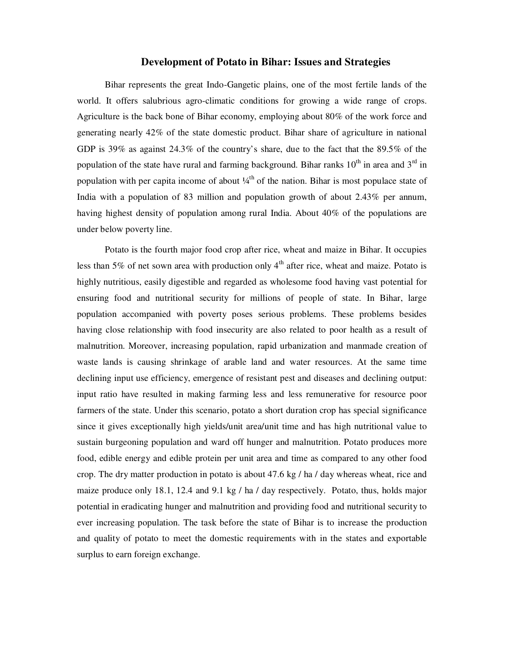## **Development of Potato in Bihar: Issues and Strategies**

Bihar represents the great Indo-Gangetic plains, one of the most fertile lands of the world. It offers salubrious agro-climatic conditions for growing a wide range of crops. Agriculture is the back bone of Bihar economy, employing about 80% of the work force and generating nearly 42% of the state domestic product. Bihar share of agriculture in national GDP is 39% as against 24.3% of the country's share, due to the fact that the 89.5% of the population of the state have rural and farming background. Bihar ranks  $10^{th}$  in area and  $3^{rd}$  in population with per capita income of about  $\frac{1}{4}$  of the nation. Bihar is most populace state of India with a population of 83 million and population growth of about 2.43% per annum, having highest density of population among rural India. About 40% of the populations are under below poverty line.

Potato is the fourth major food crop after rice, wheat and maize in Bihar. It occupies less than 5% of net sown area with production only  $4<sup>th</sup>$  after rice, wheat and maize. Potato is highly nutritious, easily digestible and regarded as wholesome food having vast potential for ensuring food and nutritional security for millions of people of state. In Bihar, large population accompanied with poverty poses serious problems. These problems besides having close relationship with food insecurity are also related to poor health as a result of malnutrition. Moreover, increasing population, rapid urbanization and manmade creation of waste lands is causing shrinkage of arable land and water resources. At the same time declining input use efficiency, emergence of resistant pest and diseases and declining output: input ratio have resulted in making farming less and less remunerative for resource poor farmers of the state. Under this scenario, potato a short duration crop has special significance since it gives exceptionally high yields/unit area/unit time and has high nutritional value to sustain burgeoning population and ward off hunger and malnutrition. Potato produces more food, edible energy and edible protein per unit area and time as compared to any other food crop. The dry matter production in potato is about 47.6 kg / ha / day whereas wheat, rice and maize produce only 18.1, 12.4 and 9.1 kg / ha / day respectively. Potato, thus, holds major potential in eradicating hunger and malnutrition and providing food and nutritional security to ever increasing population. The task before the state of Bihar is to increase the production and quality of potato to meet the domestic requirements with in the states and exportable surplus to earn foreign exchange.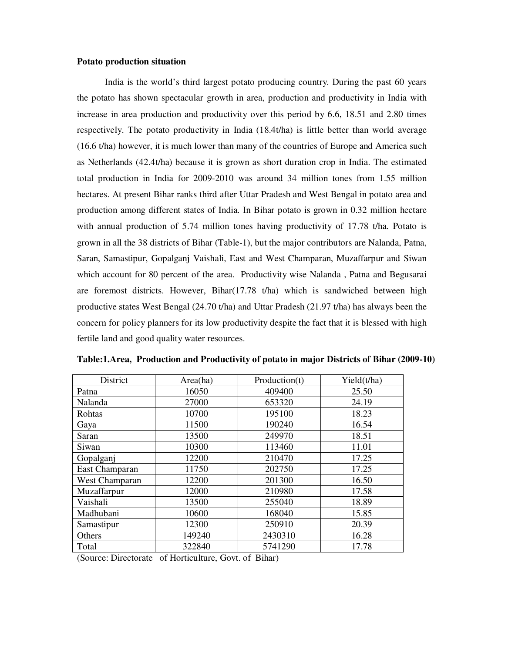#### **Potato production situation**

India is the world's third largest potato producing country. During the past 60 years the potato has shown spectacular growth in area, production and productivity in India with increase in area production and productivity over this period by 6.6, 18.51 and 2.80 times respectively. The potato productivity in India (18.4t/ha) is little better than world average (16.6 t/ha) however, it is much lower than many of the countries of Europe and America such as Netherlands (42.4t/ha) because it is grown as short duration crop in India. The estimated total production in India for 2009-2010 was around 34 million tones from 1.55 million hectares. At present Bihar ranks third after Uttar Pradesh and West Bengal in potato area and production among different states of India. In Bihar potato is grown in 0.32 million hectare with annual production of 5.74 million tones having productivity of 17.78 t/ha. Potato is grown in all the 38 districts of Bihar (Table-1), but the major contributors are Nalanda, Patna, Saran, Samastipur, Gopalganj Vaishali, East and West Champaran, Muzaffarpur and Siwan which account for 80 percent of the area. Productivity wise Nalanda , Patna and Begusarai are foremost districts. However, Bihar $(17.78 \text{ t/ha})$  which is sandwiched between high productive states West Bengal (24.70 t/ha) and Uttar Pradesh (21.97 t/ha) has always been the concern for policy planners for its low productivity despite the fact that it is blessed with high fertile land and good quality water resources.

| District       | Area(ha) | Production(t) | Yield(t/ha) |
|----------------|----------|---------------|-------------|
| Patna          | 16050    | 409400        | 25.50       |
| Nalanda        | 27000    | 653320        | 24.19       |
| Rohtas         | 10700    | 195100        | 18.23       |
| Gaya           | 11500    | 190240        | 16.54       |
| Saran          | 13500    | 249970        | 18.51       |
| Siwan          | 10300    | 113460        | 11.01       |
| Gopalganj      | 12200    | 210470        | 17.25       |
| East Champaran | 11750    | 202750        | 17.25       |
| West Champaran | 12200    | 201300        | 16.50       |
| Muzaffarpur    | 12000    | 210980        | 17.58       |
| Vaishali       | 13500    | 255040        | 18.89       |
| Madhubani      | 10600    | 168040        | 15.85       |
| Samastipur     | 12300    | 250910        | 20.39       |
| Others         | 149240   | 2430310       | 16.28       |
| Total          | 322840   | 5741290       | 17.78       |

**Table:1.Area, Production and Productivity of potato in major Districts of Bihar (2009-10)** 

(Source: Directorate of Horticulture, Govt. of Bihar)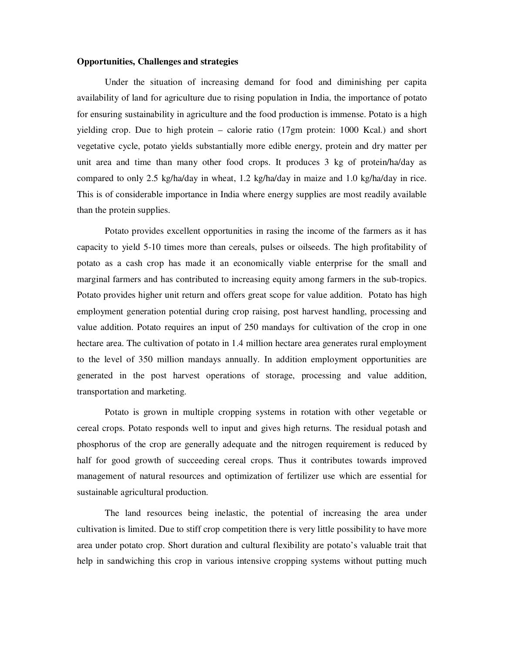#### **Opportunities, Challenges and strategies**

Under the situation of increasing demand for food and diminishing per capita availability of land for agriculture due to rising population in India, the importance of potato for ensuring sustainability in agriculture and the food production is immense. Potato is a high yielding crop. Due to high protein – calorie ratio (17gm protein: 1000 Kcal.) and short vegetative cycle, potato yields substantially more edible energy, protein and dry matter per unit area and time than many other food crops. It produces 3 kg of protein/ha/day as compared to only 2.5 kg/ha/day in wheat, 1.2 kg/ha/day in maize and 1.0 kg/ha/day in rice. This is of considerable importance in India where energy supplies are most readily available than the protein supplies.

 Potato provides excellent opportunities in rasing the income of the farmers as it has capacity to yield 5-10 times more than cereals, pulses or oilseeds. The high profitability of potato as a cash crop has made it an economically viable enterprise for the small and marginal farmers and has contributed to increasing equity among farmers in the sub-tropics. Potato provides higher unit return and offers great scope for value addition. Potato has high employment generation potential during crop raising, post harvest handling, processing and value addition. Potato requires an input of 250 mandays for cultivation of the crop in one hectare area. The cultivation of potato in 1.4 million hectare area generates rural employment to the level of 350 million mandays annually. In addition employment opportunities are generated in the post harvest operations of storage, processing and value addition, transportation and marketing.

Potato is grown in multiple cropping systems in rotation with other vegetable or cereal crops. Potato responds well to input and gives high returns. The residual potash and phosphorus of the crop are generally adequate and the nitrogen requirement is reduced by half for good growth of succeeding cereal crops. Thus it contributes towards improved management of natural resources and optimization of fertilizer use which are essential for sustainable agricultural production.

The land resources being inelastic, the potential of increasing the area under cultivation is limited. Due to stiff crop competition there is very little possibility to have more area under potato crop. Short duration and cultural flexibility are potato's valuable trait that help in sandwiching this crop in various intensive cropping systems without putting much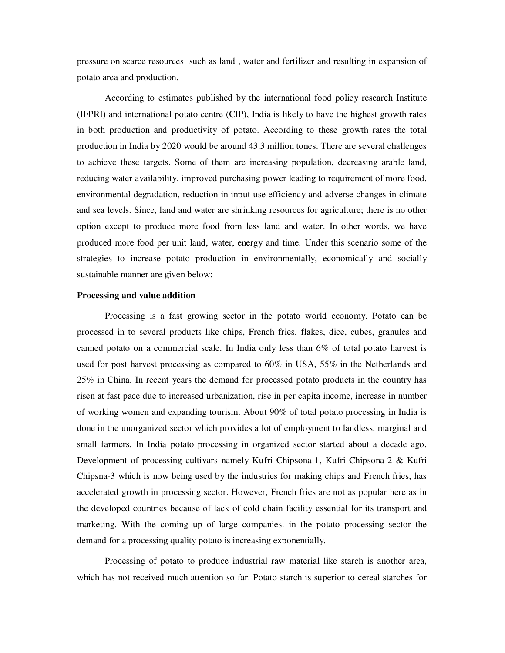pressure on scarce resources such as land , water and fertilizer and resulting in expansion of potato area and production.

According to estimates published by the international food policy research Institute (IFPRI) and international potato centre (CIP), India is likely to have the highest growth rates in both production and productivity of potato. According to these growth rates the total production in India by 2020 would be around 43.3 million tones. There are several challenges to achieve these targets. Some of them are increasing population, decreasing arable land, reducing water availability, improved purchasing power leading to requirement of more food, environmental degradation, reduction in input use efficiency and adverse changes in climate and sea levels. Since, land and water are shrinking resources for agriculture; there is no other option except to produce more food from less land and water. In other words, we have produced more food per unit land, water, energy and time. Under this scenario some of the strategies to increase potato production in environmentally, economically and socially sustainable manner are given below:

#### **Processing and value addition**

 Processing is a fast growing sector in the potato world economy. Potato can be processed in to several products like chips, French fries, flakes, dice, cubes, granules and canned potato on a commercial scale. In India only less than 6% of total potato harvest is used for post harvest processing as compared to 60% in USA, 55% in the Netherlands and 25% in China. In recent years the demand for processed potato products in the country has risen at fast pace due to increased urbanization, rise in per capita income, increase in number of working women and expanding tourism. About 90% of total potato processing in India is done in the unorganized sector which provides a lot of employment to landless, marginal and small farmers. In India potato processing in organized sector started about a decade ago. Development of processing cultivars namely Kufri Chipsona-1, Kufri Chipsona-2 & Kufri Chipsna-3 which is now being used by the industries for making chips and French fries, has accelerated growth in processing sector. However, French fries are not as popular here as in the developed countries because of lack of cold chain facility essential for its transport and marketing. With the coming up of large companies. in the potato processing sector the demand for a processing quality potato is increasing exponentially.

 Processing of potato to produce industrial raw material like starch is another area, which has not received much attention so far. Potato starch is superior to cereal starches for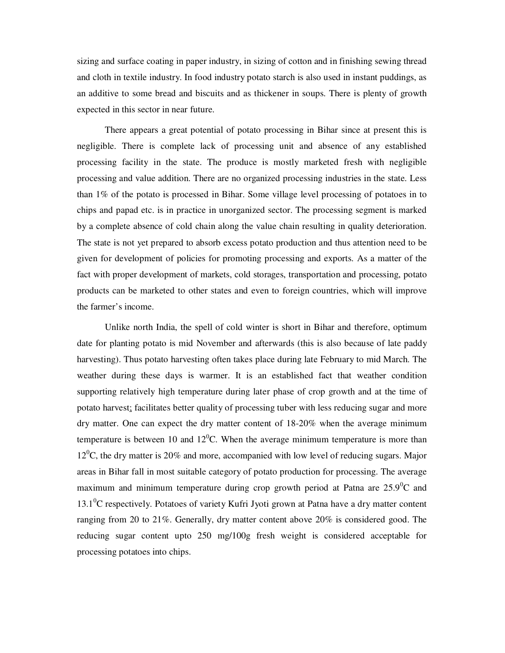sizing and surface coating in paper industry, in sizing of cotton and in finishing sewing thread and cloth in textile industry. In food industry potato starch is also used in instant puddings, as an additive to some bread and biscuits and as thickener in soups. There is plenty of growth expected in this sector in near future.

There appears a great potential of potato processing in Bihar since at present this is negligible. There is complete lack of processing unit and absence of any established processing facility in the state. The produce is mostly marketed fresh with negligible processing and value addition. There are no organized processing industries in the state. Less than 1% of the potato is processed in Bihar. Some village level processing of potatoes in to chips and papad etc. is in practice in unorganized sector. The processing segment is marked by a complete absence of cold chain along the value chain resulting in quality deterioration. The state is not yet prepared to absorb excess potato production and thus attention need to be given for development of policies for promoting processing and exports. As a matter of the fact with proper development of markets, cold storages, transportation and processing, potato products can be marketed to other states and even to foreign countries, which will improve the farmer's income.

Unlike north India, the spell of cold winter is short in Bihar and therefore, optimum date for planting potato is mid November and afterwards (this is also because of late paddy harvesting). Thus potato harvesting often takes place during late February to mid March. The weather during these days is warmer. It is an established fact that weather condition supporting relatively high temperature during later phase of crop growth and at the time of potato harvest; facilitates better quality of processing tuber with less reducing sugar and more dry matter. One can expect the dry matter content of 18-20% when the average minimum temperature is between 10 and  $12^{0}$ C. When the average minimum temperature is more than  $12<sup>0</sup>C$ , the dry matter is 20% and more, accompanied with low level of reducing sugars. Major areas in Bihar fall in most suitable category of potato production for processing. The average maximum and minimum temperature during crop growth period at Patna are  $25.9^{\circ}$ C and  $13.1<sup>0</sup>C$  respectively. Potatoes of variety Kufri Jyoti grown at Patna have a dry matter content ranging from 20 to 21%. Generally, dry matter content above 20% is considered good. The reducing sugar content upto 250 mg/100g fresh weight is considered acceptable for processing potatoes into chips.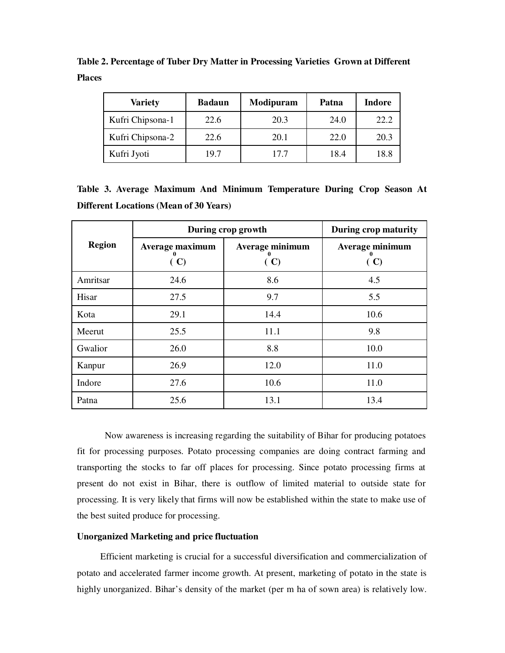**Table 2. Percentage of Tuber Dry Matter in Processing Varieties Grown at Different Places** 

| <b>Variety</b>   | <b>Badaun</b> | Modipuram | Patna | Indore |
|------------------|---------------|-----------|-------|--------|
| Kufri Chipsona-1 | 22.6          | 20.3      | 24.0  | 22.2   |
| Kufri Chipsona-2 | 22.6          | 20.1      | 22.0  | 20.3   |
| Kufri Jyoti      | 19.7          | 17.7      | 18.4  | 18.8   |

**Table 3. Average Maximum And Minimum Temperature During Crop Season At Different Locations (Mean of 30 Years)**

|               | During crop growth     | During crop maturity   |                        |
|---------------|------------------------|------------------------|------------------------|
| <b>Region</b> | Average maximum<br>(C) | Average minimum<br>(C) | Average minimum<br>(C) |
| Amritsar      | 24.6                   | 8.6                    | 4.5                    |
| Hisar         | 27.5                   | 9.7                    | 5.5                    |
| Kota          | 29.1                   | 14.4                   | 10.6                   |
| Meerut        | 25.5                   | 11.1                   | 9.8                    |
| Gwalior       | 26.0                   | 8.8                    | 10.0                   |
| Kanpur        | 26.9                   | 12.0                   | 11.0                   |
| Indore        | 27.6                   | 10.6                   | 11.0                   |
| Patna         | 25.6                   | 13.1                   | 13.4                   |

Now awareness is increasing regarding the suitability of Bihar for producing potatoes fit for processing purposes. Potato processing companies are doing contract farming and transporting the stocks to far off places for processing. Since potato processing firms at present do not exist in Bihar, there is outflow of limited material to outside state for processing. It is very likely that firms will now be established within the state to make use of the best suited produce for processing.

# **Unorganized Marketing and price fluctuation**

 Efficient marketing is crucial for a successful diversification and commercialization of potato and accelerated farmer income growth. At present, marketing of potato in the state is highly unorganized. Bihar's density of the market (per m ha of sown area) is relatively low.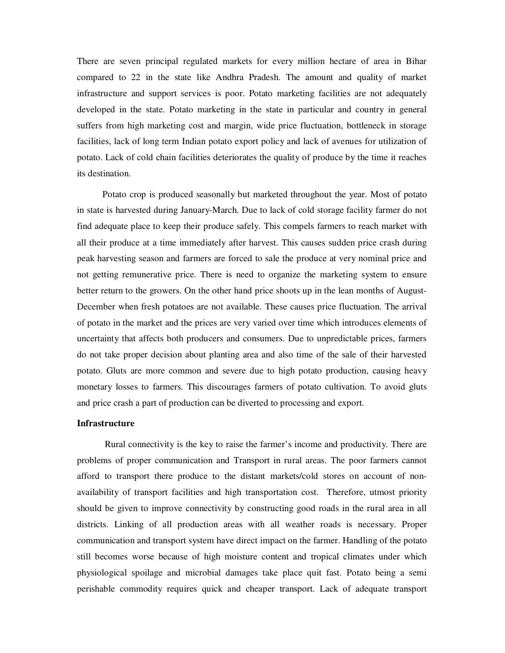There are seven principal regulated markets for every million hectare of area in Bihar compared to 22 in the state like Andhra Pradesh. The amount and quality of market infrastructure and support services is poor. Potato marketing facilities are not adequately developed in the state. Potato marketing in the state in particular and country in general suffers from high marketing cost and margin, wide price fluctuation, bottleneck in storage facilities, lack of long term Indian potato export policy and lack of avenues for utilization of potato. Lack of cold chain facilities deteriorates the quality of produce by the time it reaches its destination.

 Potato crop is produced seasonally but marketed throughout the year. Most of potato in state is harvested during January-March. Due to lack of cold storage facility farmer do not find adequate place to keep their produce safely. This compels farmers to reach market with all their produce at a time immediately after harvest. This causes sudden price crash during peak harvesting season and farmers are forced to sale the produce at very nominal price and not getting remunerative price. There is need to organize the marketing system to ensure better return to the growers. On the other hand price shoots up in the lean months of August-December when fresh potatoes are not available. These causes price fluctuation. The arrival of potato in the market and the prices are very varied over time which introduces elements of uncertainty that affects both producers and consumers. Due to unpredictable prices, farmers do not take proper decision about planting area and also time of the sale of their harvested potato. Gluts are more common and severe due to high potato production, causing heavy monetary losses to farmers. This discourages farmers of potato cultivation. To avoid gluts and price crash a part of production can be diverted to processing and export.

#### **Infrastructure**

 Rural connectivity is the key to raise the farmer's income and productivity. There are problems of proper communication and Transport in rural areas. The poor farmers cannot afford to transport there produce to the distant markets/cold stores on account of nonavailability of transport facilities and high transportation cost. Therefore, utmost priority should be given to improve connectivity by constructing good roads in the rural area in all districts. Linking of all production areas with all weather roads is necessary. Proper communication and transport system have direct impact on the farmer. Handling of the potato still becomes worse because of high moisture content and tropical climates under which physiological spoilage and microbial damages take place quit fast. Potato being a semi perishable commodity requires quick and cheaper transport. Lack of adequate transport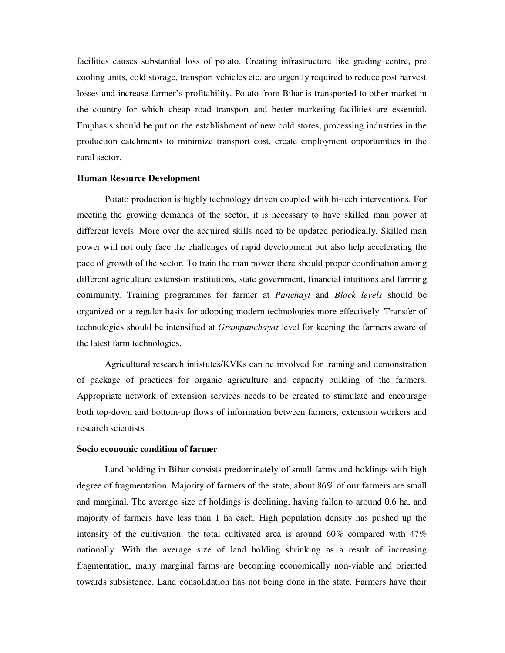facilities causes substantial loss of potato. Creating infrastructure like grading centre, pre cooling units, cold storage, transport vehicles etc. are urgently required to reduce post harvest losses and increase farmer's profitability. Potato from Bihar is transported to other market in the country for which cheap road transport and better marketing facilities are essential. Emphasis should be put on the establishment of new cold stores, processing industries in the production catchments to minimize transport cost, create employment opportunities in the rural sector.

#### **Human Resource Development**

Potato production is highly technology driven coupled with hi-tech interventions. For meeting the growing demands of the sector, it is necessary to have skilled man power at different levels. More over the acquired skills need to be updated periodically. Skilled man power will not only face the challenges of rapid development but also help accelerating the pace of growth of the sector. To train the man power there should proper coordination among different agriculture extension institutions, state government, financial intuitions and farming community. Training programmes for farmer at *Panchayt* and *Block levels* should be organized on a regular basis for adopting modern technologies more effectively. Transfer of technologies should be intensified at *Grampanchayat* level for keeping the farmers aware of the latest farm technologies.

Agricultural research intistutes/KVKs can be involved for training and demonstration of package of practices for organic agriculture and capacity building of the farmers. Appropriate network of extension services needs to be created to stimulate and encourage both top-down and bottom-up flows of information between farmers, extension workers and research scientists.

## **Socio economic condition of farmer**

Land holding in Bihar consists predominately of small farms and holdings with high degree of fragmentation. Majority of farmers of the state, about 86% of our farmers are small and marginal. The average size of holdings is declining, having fallen to around 0.6 ha, and majority of farmers have less than 1 ha each. High population density has pushed up the intensity of the cultivation: the total cultivated area is around  $60\%$  compared with  $47\%$ nationally. With the average size of land holding shrinking as a result of increasing fragmentation, many marginal farms are becoming economically non-viable and oriented towards subsistence. Land consolidation has not being done in the state. Farmers have their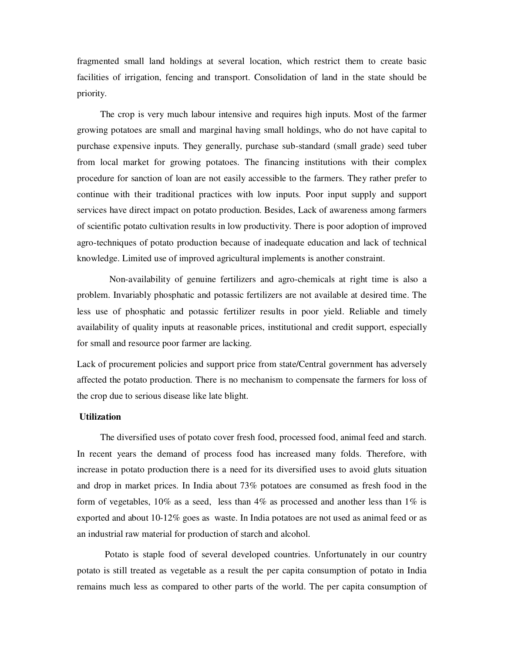fragmented small land holdings at several location, which restrict them to create basic facilities of irrigation, fencing and transport. Consolidation of land in the state should be priority.

 The crop is very much labour intensive and requires high inputs. Most of the farmer growing potatoes are small and marginal having small holdings, who do not have capital to purchase expensive inputs. They generally, purchase sub-standard (small grade) seed tuber from local market for growing potatoes. The financing institutions with their complex procedure for sanction of loan are not easily accessible to the farmers. They rather prefer to continue with their traditional practices with low inputs. Poor input supply and support services have direct impact on potato production. Besides, Lack of awareness among farmers of scientific potato cultivation results in low productivity. There is poor adoption of improved agro-techniques of potato production because of inadequate education and lack of technical knowledge. Limited use of improved agricultural implements is another constraint.

 Non-availability of genuine fertilizers and agro-chemicals at right time is also a problem. Invariably phosphatic and potassic fertilizers are not available at desired time. The less use of phosphatic and potassic fertilizer results in poor yield. Reliable and timely availability of quality inputs at reasonable prices, institutional and credit support, especially for small and resource poor farmer are lacking.

Lack of procurement policies and support price from state/Central government has adversely affected the potato production. There is no mechanism to compensate the farmers for loss of the crop due to serious disease like late blight.

# **Utilization**

 The diversified uses of potato cover fresh food, processed food, animal feed and starch. In recent years the demand of process food has increased many folds. Therefore, with increase in potato production there is a need for its diversified uses to avoid gluts situation and drop in market prices. In India about 73% potatoes are consumed as fresh food in the form of vegetables,  $10\%$  as a seed, less than 4% as processed and another less than  $1\%$  is exported and about 10-12% goes as waste. In India potatoes are not used as animal feed or as an industrial raw material for production of starch and alcohol.

Potato is staple food of several developed countries. Unfortunately in our country potato is still treated as vegetable as a result the per capita consumption of potato in India remains much less as compared to other parts of the world. The per capita consumption of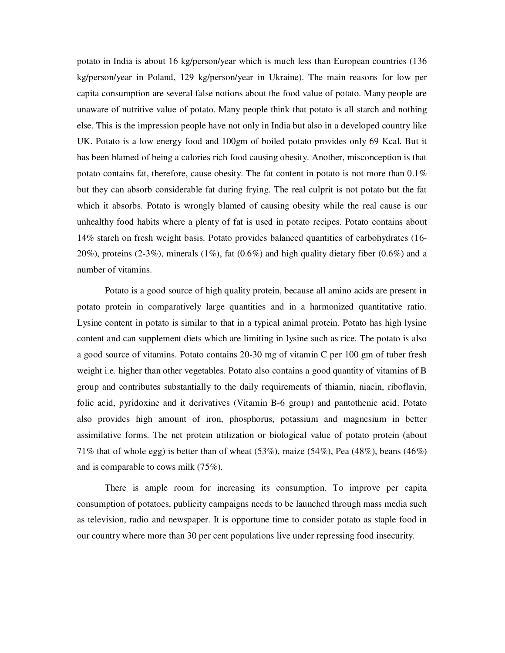potato in India is about 16 kg/person/year which is much less than European countries (136 kg/person/year in Poland, 129 kg/person/year in Ukraine). The main reasons for low per capita consumption are several false notions about the food value of potato. Many people are unaware of nutritive value of potato. Many people think that potato is all starch and nothing else. This is the impression people have not only in India but also in a developed country like UK. Potato is a low energy food and 100gm of boiled potato provides only 69 Kcal. But it has been blamed of being a calories rich food causing obesity. Another, misconception is that potato contains fat, therefore, cause obesity. The fat content in potato is not more than 0.1% but they can absorb considerable fat during frying. The real culprit is not potato but the fat which it absorbs. Potato is wrongly blamed of causing obesity while the real cause is our unhealthy food habits where a plenty of fat is used in potato recipes. Potato contains about 14% starch on fresh weight basis. Potato provides balanced quantities of carbohydrates (16- 20%), proteins  $(2-3\%)$ , minerals  $(1\%)$ , fat  $(0.6\%)$  and high quality dietary fiber  $(0.6\%)$  and a number of vitamins.

Potato is a good source of high quality protein, because all amino acids are present in potato protein in comparatively large quantities and in a harmonized quantitative ratio. Lysine content in potato is similar to that in a typical animal protein. Potato has high lysine content and can supplement diets which are limiting in lysine such as rice. The potato is also a good source of vitamins. Potato contains 20-30 mg of vitamin C per 100 gm of tuber fresh weight i.e. higher than other vegetables. Potato also contains a good quantity of vitamins of B group and contributes substantially to the daily requirements of thiamin, niacin, riboflavin, folic acid, pyridoxine and it derivatives (Vitamin B-6 group) and pantothenic acid. Potato also provides high amount of iron, phosphorus, potassium and magnesium in better assimilative forms. The net protein utilization or biological value of potato protein (about 71% that of whole egg) is better than of wheat  $(53\%)$ , maize  $(54\%)$ , Pea  $(48\%)$ , beans  $(46\%)$ and is comparable to cows milk (75%).

There is ample room for increasing its consumption. To improve per capita consumption of potatoes, publicity campaigns needs to be launched through mass media such as television, radio and newspaper. It is opportune time to consider potato as staple food in our country where more than 30 per cent populations live under repressing food insecurity.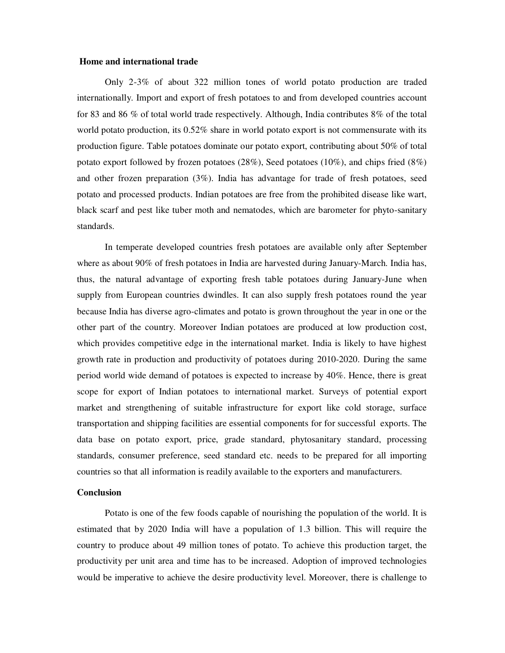#### **Home and international trade**

Only 2-3% of about 322 million tones of world potato production are traded internationally. Import and export of fresh potatoes to and from developed countries account for 83 and 86 % of total world trade respectively. Although, India contributes 8% of the total world potato production, its 0.52% share in world potato export is not commensurate with its production figure. Table potatoes dominate our potato export, contributing about 50% of total potato export followed by frozen potatoes (28%), Seed potatoes (10%), and chips fried (8%) and other frozen preparation (3%). India has advantage for trade of fresh potatoes, seed potato and processed products. Indian potatoes are free from the prohibited disease like wart, black scarf and pest like tuber moth and nematodes, which are barometer for phyto-sanitary standards.

 In temperate developed countries fresh potatoes are available only after September where as about 90% of fresh potatoes in India are harvested during January-March. India has, thus, the natural advantage of exporting fresh table potatoes during January-June when supply from European countries dwindles. It can also supply fresh potatoes round the year because India has diverse agro-climates and potato is grown throughout the year in one or the other part of the country. Moreover Indian potatoes are produced at low production cost, which provides competitive edge in the international market. India is likely to have highest growth rate in production and productivity of potatoes during 2010-2020. During the same period world wide demand of potatoes is expected to increase by 40%. Hence, there is great scope for export of Indian potatoes to international market. Surveys of potential export market and strengthening of suitable infrastructure for export like cold storage, surface transportation and shipping facilities are essential components for for successful exports. The data base on potato export, price, grade standard, phytosanitary standard, processing standards, consumer preference, seed standard etc. needs to be prepared for all importing countries so that all information is readily available to the exporters and manufacturers.

#### **Conclusion**

 Potato is one of the few foods capable of nourishing the population of the world. It is estimated that by 2020 India will have a population of 1.3 billion. This will require the country to produce about 49 million tones of potato. To achieve this production target, the productivity per unit area and time has to be increased. Adoption of improved technologies would be imperative to achieve the desire productivity level. Moreover, there is challenge to